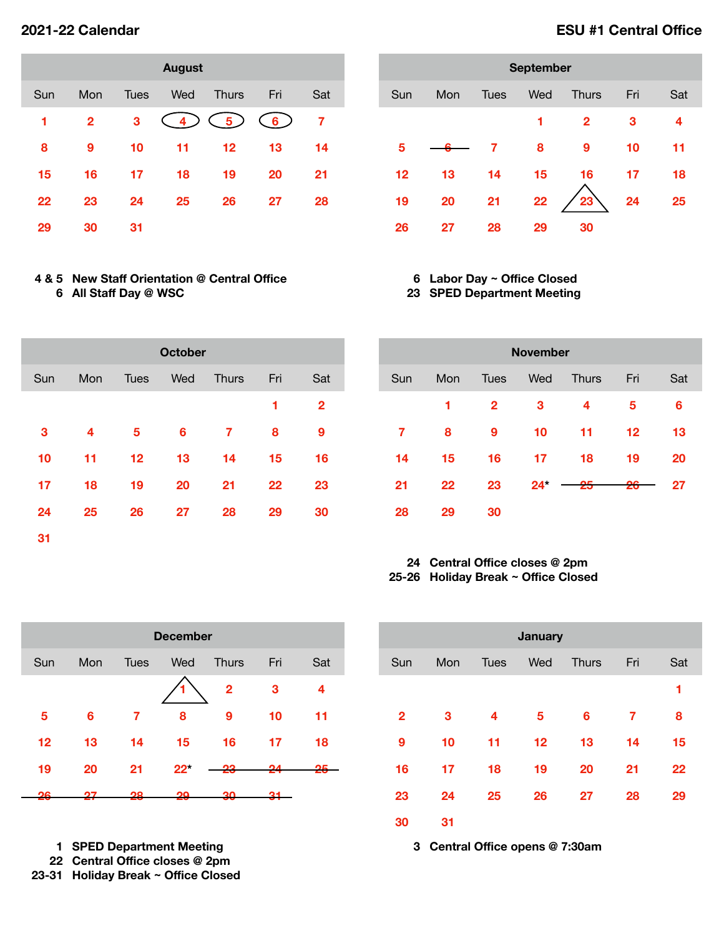|     |              |      | <b>August</b> |              |     |     |
|-----|--------------|------|---------------|--------------|-----|-----|
| Sun | Mon          | Tues | Wed           | <b>Thurs</b> | Fri | Sat |
| 1   | $\mathbf{2}$ | 3    | 4)            | 5)           | 6)  | 7   |
| 8   | 9            | 10   | 11            | 12           | 13  | 14  |
| 15  | 16           | 17   | 18            | 19           | 20  | 21  |
| 22  | 23           | 24   | 25            | 26           | 27  | 28  |
| 29  | 30           | 31   |               |              |     |     |

## **4 & 5 New Staff Orientation @ Central Office All Staff Day @ WSC**

| <b>September</b> |     |             |     |              |     |     |  |  |  |
|------------------|-----|-------------|-----|--------------|-----|-----|--|--|--|
| Sun              | Mon | <b>Tues</b> | Wed | <b>Thurs</b> | Fri | Sat |  |  |  |
|                  |     |             | 1   | $\mathbf{2}$ | 3   | 4   |  |  |  |
| 5                |     | 7           | 8   | 9            | 10  | 11  |  |  |  |
| 12               | 13  | 14          | 15  | 16           | 17  | 18  |  |  |  |
| 19               | 20  | 21          | 22  | 23           | 24  | 25  |  |  |  |
| 26               | 27  | 28          | 29  | 30           |     |     |  |  |  |

### **Labor Day ~ Office Closed SPED Department Meeting**

| <b>October</b> |     |             |     |              |     |              |  |  |  |
|----------------|-----|-------------|-----|--------------|-----|--------------|--|--|--|
| Sun            | Mon | <b>Tues</b> | Wed | <b>Thurs</b> | Fri | Sat          |  |  |  |
|                |     |             |     |              | 1   | $\mathbf{2}$ |  |  |  |
| 3              | 4   | 5           | 6   | 7            | 8   | 9            |  |  |  |
| 10             | 11  | 12          | 13  | 14           | 15  | 16           |  |  |  |
| 17             | 18  | 19          | 20  | 21           | 22  | 23           |  |  |  |
| 24             | 25  | 26          | 27  | 28           | 29  | 30           |  |  |  |
| 31             |     |             |     |              |     |              |  |  |  |

| <b>November</b> |     |              |        |              |     |     |  |  |
|-----------------|-----|--------------|--------|--------------|-----|-----|--|--|
| Sun             | Mon | <b>Tues</b>  | Wed    | <b>Thurs</b> | Fri | Sat |  |  |
|                 | 1   | $\mathbf{2}$ | 3      | 4            | 5   | 6   |  |  |
| 7               | 8   | 9            | 10     | 11           | 12  | 13  |  |  |
| 14              | 15  | 16           | 17     | 18           | 19  | 20  |  |  |
| 21              | 22  | 23           | $24^*$ | 25           | 26  | 27  |  |  |
| 28              | 29  | 30           |        |              |     |     |  |  |

### **Central Office closes @ 2pm 25-26 Holiday Break ~ Office Closed**

| <b>December</b> |     |             |        |                |     |     |  |  |  |
|-----------------|-----|-------------|--------|----------------|-----|-----|--|--|--|
| Sun             | Mon | <b>Tues</b> | Wed    | <b>Thurs</b>   | Fri | Sat |  |  |  |
|                 |     |             |        | $\overline{2}$ | 3   | 4   |  |  |  |
| 5               | 6   | 7           | 8      | 9              | 10  | 11  |  |  |  |
| 12              | 13  | 14          | 15     | 16             | 17  | 18  |  |  |  |
| 19              | 20  | 21          | $22^*$ | 23             | גפ  |     |  |  |  |
| າຣ              |     | 28          | 29     | 30             |     |     |  |  |  |

**SPED Department Meeting** 

**Central Office closes @ 2pm** 

**23-31 Holiday Break ~ Office Closed**

| <b>January</b> |     |             |     |              |     |     |  |  |  |
|----------------|-----|-------------|-----|--------------|-----|-----|--|--|--|
| Sun            | Mon | <b>Tues</b> | Wed | <b>Thurs</b> | Fri | Sat |  |  |  |
|                |     |             |     |              |     | 1   |  |  |  |
| $\overline{2}$ | 3   | 4           | 5   | 6            | 7   | 8   |  |  |  |
| 9              | 10  | 11          | 12  | 13           | 14  | 15  |  |  |  |
| 16             | 17  | 18          | 19  | 20           | 21  | 22  |  |  |  |
| 23             | 24  | 25          | 26  | 27           | 28  | 29  |  |  |  |
| 30             | 31  |             |     |              |     |     |  |  |  |

**Central Office opens @ 7:30am** 

# **2021-22 Calendar ESU #1 Central Office**